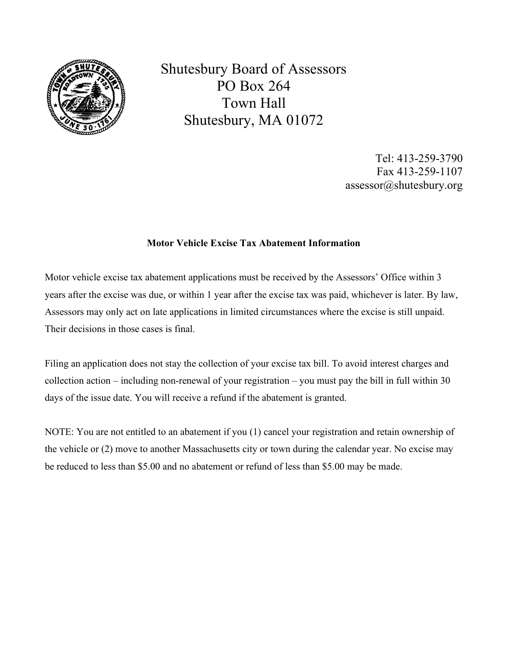

Shutesbury Board of Assessors PO Box 264 Town Hall Shutesbury, MA 01072

> Tel: 413-259-3790 Fax 413-259-1107 assessor@shutesbury.org

## Motor Vehicle Excise Tax Abatement Information

Motor vehicle excise tax abatement applications must be received by the Assessors' Office within 3 years after the excise was due, or within 1 year after the excise tax was paid, whichever is later. By law, Assessors may only act on late applications in limited circumstances where the excise is still unpaid. Their decisions in those cases is final.

Filing an application does not stay the collection of your excise tax bill. To avoid interest charges and collection action – including non-renewal of your registration – you must pay the bill in full within 30 days of the issue date. You will receive a refund if the abatement is granted.

NOTE: You are not entitled to an abatement if you (1) cancel your registration and retain ownership of the vehicle or (2) move to another Massachusetts city or town during the calendar year. No excise may be reduced to less than \$5.00 and no abatement or refund of less than \$5.00 may be made.